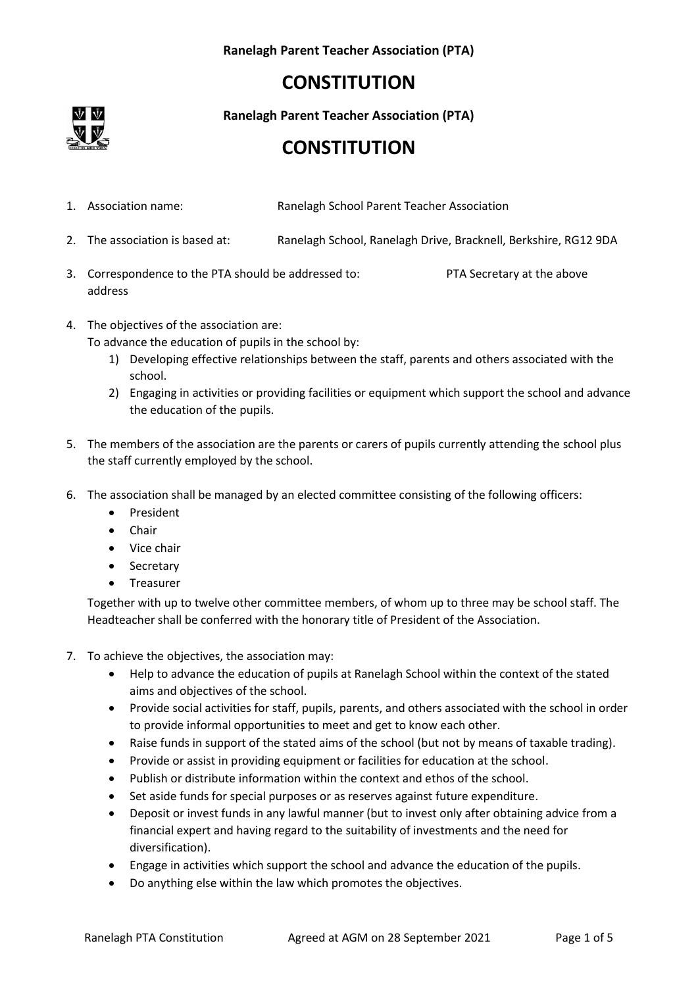### **Ranelagh Parent Teacher Association (PTA)**

# **CONSTITUTION**



**Ranelagh Parent Teacher Association (PTA)**

### **CONSTITUTION**

- 1. Association name: Ranelagh School Parent Teacher Association
- 2. The association is based at: Ranelagh School, Ranelagh Drive, Bracknell, Berkshire, RG12 9DA
- 3. Correspondence to the PTA should be addressed to: PTA Secretary at the above address

4. The objectives of the association are:

To advance the education of pupils in the school by:

- 1) Developing effective relationships between the staff, parents and others associated with the school.
- 2) Engaging in activities or providing facilities or equipment which support the school and advance the education of the pupils.
- 5. The members of the association are the parents or carers of pupils currently attending the school plus the staff currently employed by the school.
- 6. The association shall be managed by an elected committee consisting of the following officers:
	- President
	- Chair
	- Vice chair
	- Secretary
	- Treasurer

Together with up to twelve other committee members, of whom up to three may be school staff. The Headteacher shall be conferred with the honorary title of President of the Association.

- 7. To achieve the objectives, the association may:
	- Help to advance the education of pupils at Ranelagh School within the context of the stated aims and objectives of the school.
	- Provide social activities for staff, pupils, parents, and others associated with the school in order to provide informal opportunities to meet and get to know each other.
	- Raise funds in support of the stated aims of the school (but not by means of taxable trading).
	- Provide or assist in providing equipment or facilities for education at the school.
	- Publish or distribute information within the context and ethos of the school.
	- Set aside funds for special purposes or as reserves against future expenditure.
	- Deposit or invest funds in any lawful manner (but to invest only after obtaining advice from a financial expert and having regard to the suitability of investments and the need for diversification).
	- Engage in activities which support the school and advance the education of the pupils.
	- Do anything else within the law which promotes the objectives.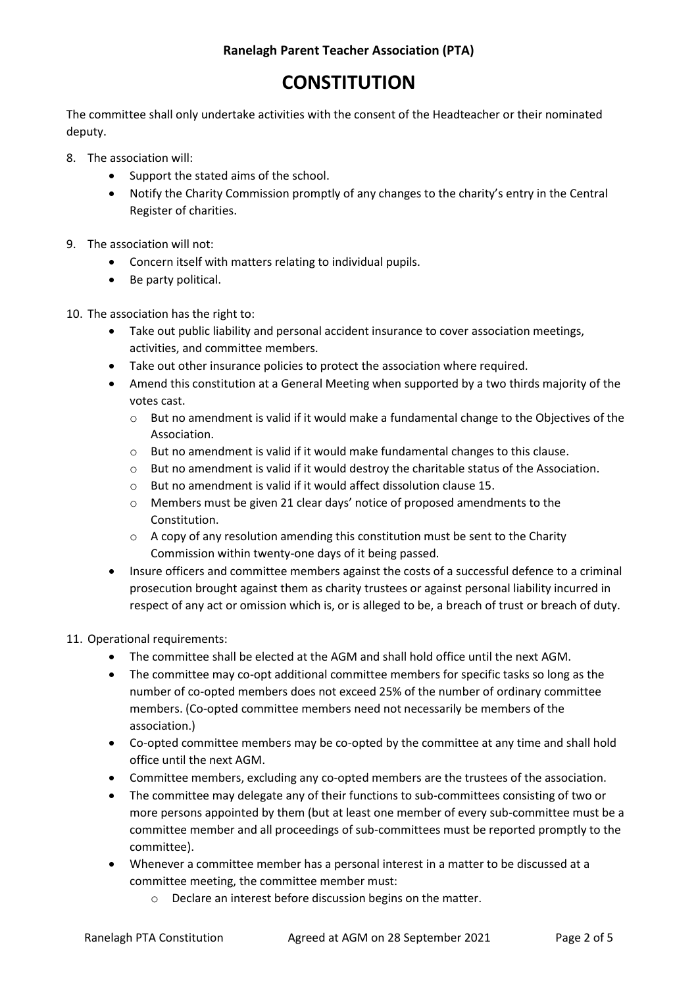### **CONSTITUTION**

The committee shall only undertake activities with the consent of the Headteacher or their nominated deputy.

- 8. The association will:
	- Support the stated aims of the school.
	- Notify the Charity Commission promptly of any changes to the charity's entry in the Central Register of charities.
- 9. The association will not:
	- Concern itself with matters relating to individual pupils.
	- Be party political.
- 10. The association has the right to:
	- Take out public liability and personal accident insurance to cover association meetings, activities, and committee members.
	- Take out other insurance policies to protect the association where required.
	- Amend this constitution at a General Meeting when supported by a two thirds majority of the votes cast.
		- $\circ$  But no amendment is valid if it would make a fundamental change to the Objectives of the Association.
		- $\circ$  But no amendment is valid if it would make fundamental changes to this clause.
		- $\circ$  But no amendment is valid if it would destroy the charitable status of the Association.
		- o But no amendment is valid if it would affect dissolution clause 15.
		- o Members must be given 21 clear days' notice of proposed amendments to the Constitution.
		- $\circ$  A copy of any resolution amending this constitution must be sent to the Charity Commission within twenty-one days of it being passed.
	- Insure officers and committee members against the costs of a successful defence to a criminal prosecution brought against them as charity trustees or against personal liability incurred in respect of any act or omission which is, or is alleged to be, a breach of trust or breach of duty.

### 11. Operational requirements:

- The committee shall be elected at the AGM and shall hold office until the next AGM.
- The committee may co-opt additional committee members for specific tasks so long as the number of co-opted members does not exceed 25% of the number of ordinary committee members. (Co-opted committee members need not necessarily be members of the association.)
- Co-opted committee members may be co-opted by the committee at any time and shall hold office until the next AGM.
- Committee members, excluding any co-opted members are the trustees of the association.
- The committee may delegate any of their functions to sub-committees consisting of two or more persons appointed by them (but at least one member of every sub-committee must be a committee member and all proceedings of sub-committees must be reported promptly to the committee).
- Whenever a committee member has a personal interest in a matter to be discussed at a committee meeting, the committee member must:
	- o Declare an interest before discussion begins on the matter.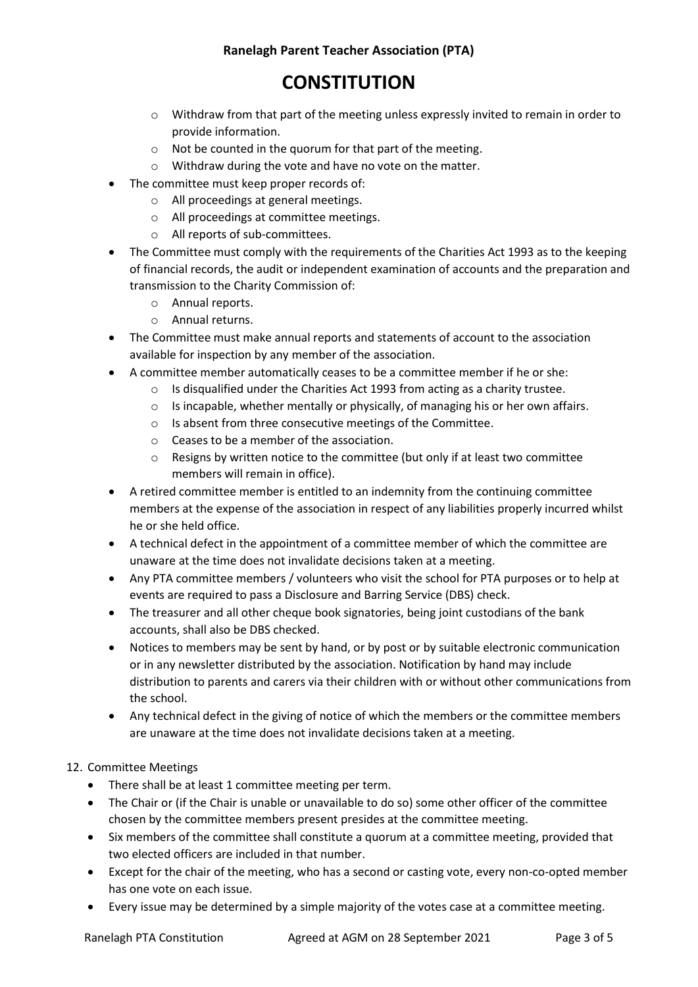# **CONSTITUTION**

- $\circ$  Withdraw from that part of the meeting unless expressly invited to remain in order to provide information.
- o Not be counted in the quorum for that part of the meeting.
- o Withdraw during the vote and have no vote on the matter.
- The committee must keep proper records of:
	- o All proceedings at general meetings.
	- o All proceedings at committee meetings.
	- o All reports of sub-committees.
- The Committee must comply with the requirements of the Charities Act 1993 as to the keeping of financial records, the audit or independent examination of accounts and the preparation and transmission to the Charity Commission of:
	- o Annual reports.
	- o Annual returns.
- The Committee must make annual reports and statements of account to the association available for inspection by any member of the association.
- A committee member automatically ceases to be a committee member if he or she:
	- o Is disqualified under the Charities Act 1993 from acting as a charity trustee.
	- $\circ$  Is incapable, whether mentally or physically, of managing his or her own affairs.
	- o Is absent from three consecutive meetings of the Committee.
	- o Ceases to be a member of the association.
	- $\circ$  Resigns by written notice to the committee (but only if at least two committee members will remain in office).
- A retired committee member is entitled to an indemnity from the continuing committee members at the expense of the association in respect of any liabilities properly incurred whilst he or she held office.
- A technical defect in the appointment of a committee member of which the committee are unaware at the time does not invalidate decisions taken at a meeting.
- Any PTA committee members / volunteers who visit the school for PTA purposes or to help at events are required to pass a Disclosure and Barring Service (DBS) check.
- The treasurer and all other cheque book signatories, being joint custodians of the bank accounts, shall also be DBS checked.
- Notices to members may be sent by hand, or by post or by suitable electronic communication or in any newsletter distributed by the association. Notification by hand may include distribution to parents and carers via their children with or without other communications from the school.
- Any technical defect in the giving of notice of which the members or the committee members are unaware at the time does not invalidate decisions taken at a meeting.

### 12. Committee Meetings

- There shall be at least 1 committee meeting per term.
- The Chair or (if the Chair is unable or unavailable to do so) some other officer of the committee chosen by the committee members present presides at the committee meeting.
- Six members of the committee shall constitute a quorum at a committee meeting, provided that two elected officers are included in that number.
- Except for the chair of the meeting, who has a second or casting vote, every non-co-opted member has one vote on each issue.
- Every issue may be determined by a simple majority of the votes case at a committee meeting.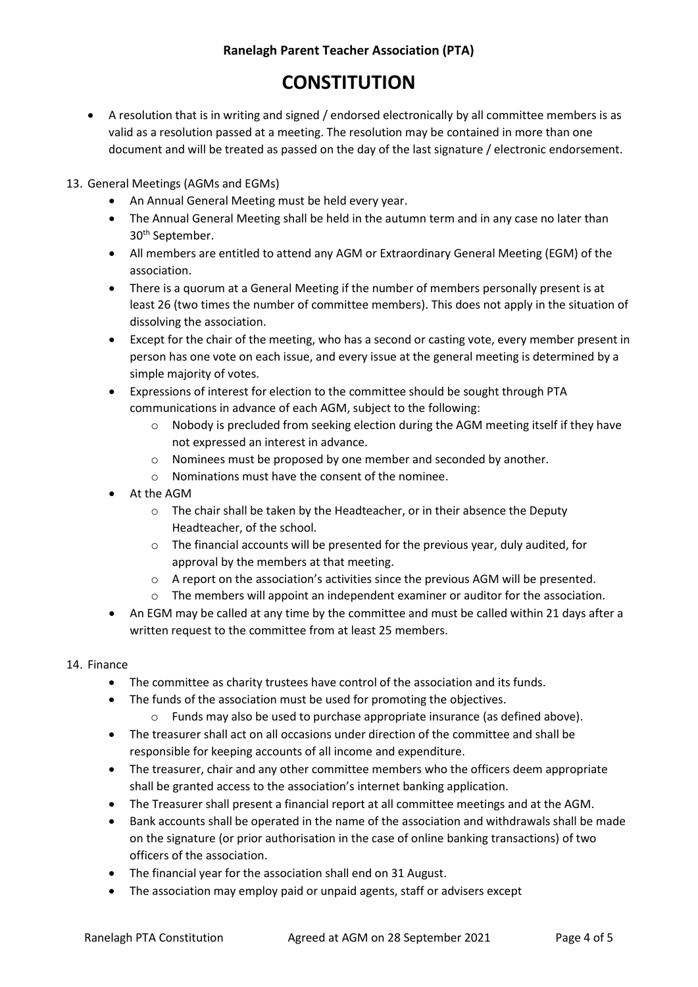### **Ranelagh Parent Teacher Association (PTA)**

# **CONSTITUTION**

- A resolution that is in writing and signed / endorsed electronically by all committee members is as valid as a resolution passed at a meeting. The resolution may be contained in more than one document and will be treated as passed on the day of the last signature / electronic endorsement.
- 13. General Meetings (AGMs and EGMs)
	- An Annual General Meeting must be held every year.
	- The Annual General Meeting shall be held in the autumn term and in any case no later than 30<sup>th</sup> September.
	- All members are entitled to attend any AGM or Extraordinary General Meeting (EGM) of the association.
	- There is a quorum at a General Meeting if the number of members personally present is at least 26 (two times the number of committee members). This does not apply in the situation of dissolving the association.
	- Except for the chair of the meeting, who has a second or casting vote, every member present in person has one vote on each issue, and every issue at the general meeting is determined by a simple majority of votes.
	- Expressions of interest for election to the committee should be sought through PTA communications in advance of each AGM, subject to the following:
		- o Nobody is precluded from seeking election during the AGM meeting itself if they have not expressed an interest in advance.
		- o Nominees must be proposed by one member and seconded by another.
		- o Nominations must have the consent of the nominee.
	- At the AGM
		- o The chair shall be taken by the Headteacher, or in their absence the Deputy Headteacher, of the school.
		- o The financial accounts will be presented for the previous year, duly audited, for approval by the members at that meeting.
		- $\circ$  A report on the association's activities since the previous AGM will be presented.
		- o The members will appoint an independent examiner or auditor for the association.
	- An EGM may be called at any time by the committee and must be called within 21 days after a written request to the committee from at least 25 members.
- 14. Finance
	- The committee as charity trustees have control of the association and its funds.
	- The funds of the association must be used for promoting the objectives.
		- $\circ$  Funds may also be used to purchase appropriate insurance (as defined above).
	- The treasurer shall act on all occasions under direction of the committee and shall be responsible for keeping accounts of all income and expenditure.
	- The treasurer, chair and any other committee members who the officers deem appropriate shall be granted access to the association's internet banking application.
	- The Treasurer shall present a financial report at all committee meetings and at the AGM.
	- Bank accounts shall be operated in the name of the association and withdrawals shall be made on the signature (or prior authorisation in the case of online banking transactions) of two officers of the association.
	- The financial year for the association shall end on 31 August.
	- The association may employ paid or unpaid agents, staff or advisers except